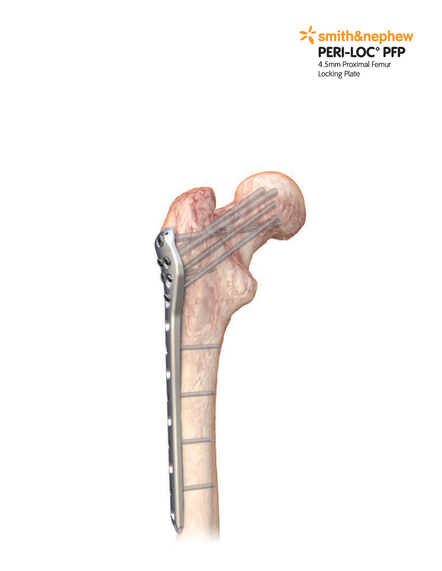

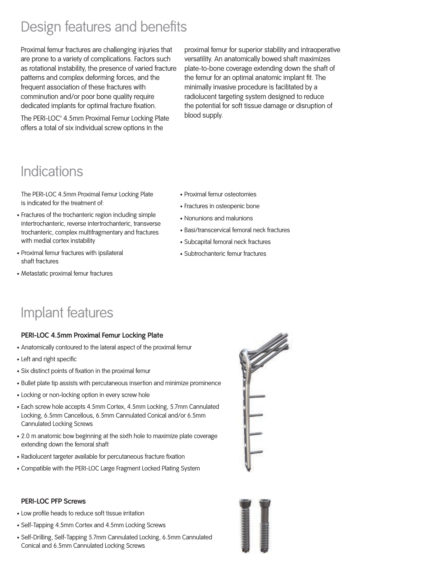# Design features and benefits

Proximal femur fractures are challenging injuries that are prone to a variety of complications. Factors such as rotational instability, the presence of varied fracture patterns and complex deforming forces, and the frequent association of these fractures with comminution and/or poor bone quality require dedicated implants for optimal fracture fixation.

The PERI-LOC<sup>®</sup> 4.5mm Proximal Femur Locking Plate offers a total of six individual screw options in the

proximal femur for superior stability and intraoperative versatility. An anatomically bowed shaft maximizes plate-to-bone coverage extending down the shaft of the femur for an optimal anatomic implant fit. The minimally invasive procedure is facilitated by a radiolucent targeting system designed to reduce the potential for soft tissue damage or disruption of blood supply.

# Indications

The PERI-LOC 4.5mm Proximal Femur Locking Plate is indicated for the treatment of:

- Fractures of the trochanteric region including simple intertrochanteric, reverse intertrochanteric, transverse trochanteric, complex multifragmentary and fractures with medial cortex instability
- Proximal femur fractures with ipsilateral shaft fractures
- Metastatic proximal femur fractures
- Proximal femur osteotomies
- Fractures in osteopenic bone
- Nonunions and malunions
- Basi/transcervical femoral neck fractures
- Subcapital femoral neck fractures
- Subtrochanteric femur fractures

## Implant features

### **PERI-LOC 4.5mm Proximal Femur Locking Plate**

- Anatomically contoured to the lateral aspect of the proximal femur
- Left and right specific
- Six distinct points of fixation in the proximal femur
- Bullet plate tip assists with percutaneous insertion and minimize prominence
- Locking or non-locking option in every screw hole
- Each screw hole accepts 4.5mm Cortex, 4.5mm Locking, 5.7mm Cannulated Locking, 6.5mm Cancellous, 6.5mm Cannulated Conical and/or 6.5mm Cannulated Locking Screws
- 2.0 m anatomic bow beginning at the sixth hole to maximize plate coverage extending down the femoral shaft
- Radiolucent targeter available for percutaneous fracture fixation
- Compatible with the PERI-LOC Large Fragment Locked Plating System

# 





- Low profile heads to reduce soft tissue irritation
- Self-Tapping 4.5mm Cortex and 4.5mm Locking Screws
- Self-Drilling, Self-Tapping 5.7mm Cannulated Locking, 6.5mm Cannulated Conical and 6.5mm Cannulated Locking Screws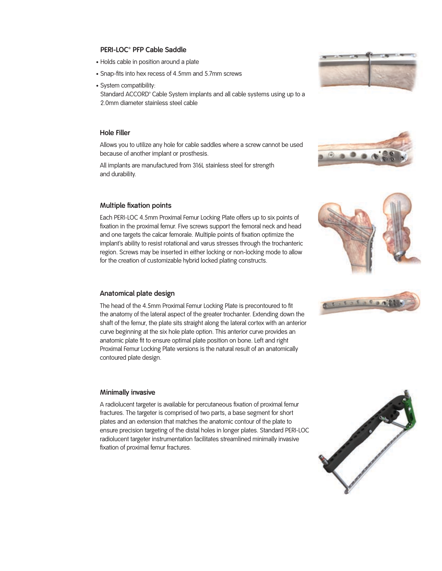### **PERI-LOC™ PFP Cable Saddle**

- Holds cable in position around a plate
- Snap-fits into hex recess of 4.5mm and 5.7mm screws
- System compatibility:

Standard ACCORD<sup>®</sup> Cable System implants and all cable systems using up to a 2.0mm diameter stainless steel cable

### **Hole Filler**

Allows you to utilize any hole for cable saddles where a screw cannot be used because of another implant or prosthesis.

All implants are manufactured from 316L stainless steel for strength and durability.

### **Multiple fixation points**

Each PERI-LOC 4.5mm Proximal Femur Locking Plate offers up to six points of fixation in the proximal femur. Five screws support the femoral neck and head and one targets the calcar femorale. Multiple points of fixation optimize the implant's ability to resist rotational and varus stresses through the trochanteric region. Screws may be inserted in either locking or non-locking mode to allow for the creation of customizable hybrid locked plating constructs.

### **Anatomical plate design**

The head of the 4.5mm Proximal Femur Locking Plate is precontoured to fit the anatomy of the lateral aspect of the greater trochanter. Extending down the shaft of the femur, the plate sits straight along the lateral cortex with an anterior curve beginning at the six hole plate option. This anterior curve provides an anatomic plate fit to ensure optimal plate position on bone. Left and right Proximal Femur Locking Plate versions is the natural result of an anatomically contoured plate design.

### **Minimally invasive**

A radiolucent targeter is available for percutaneous fixation of proximal femur fractures. The targeter is comprised of two parts, a base segment for short plates and an extension that matches the anatomic contour of the plate to ensure precision targeting of the distal holes in longer plates. Standard PERI-LOC radiolucent targeter instrumentation facilitates streamlined minimally invasive fixation of proximal femur fractures.